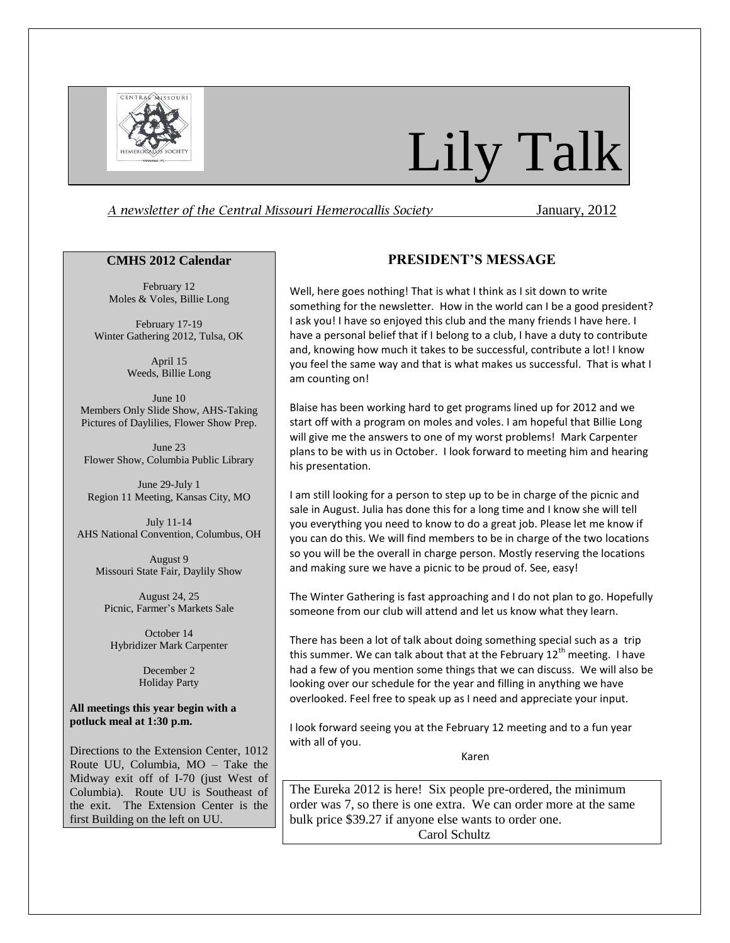

# Lily Talk

# *A newsletter of the Central Missouri Hemerocallis Society* January, 2012

## **CMHS 2012 Calendar**

February 12 Moles & Voles, Billie Long

February 17-19 Winter Gathering 2012, Tulsa, OK

> April 15 Weeds, Billie Long

June 10 Members Only Slide Show, AHS-Taking Pictures of Daylilies, Flower Show Prep.

June 23 Flower Show, Columbia Public Library

June 29-July 1 Region 11 Meeting, Kansas City, MO

July 11-14 AHS National Convention, Columbus, OH

August 9 Missouri State Fair, Daylily Show

August 24, 25 Picnic, Farmer's Markets Sale

October 14 Hybridizer Mark Carpenter

> December 2 Holiday Party

## **All meetings this year begin with a potluck meal at 1:30 p.m.**

Directions to the Extension Center, 1012 Route UU, Columbia, MO – Take the Midway exit off of I-70 (just West of Columbia). Route UU is Southeast of the exit. The Extension Center is the first Building on the left on UU.

# **PRESIDENT'S MESSAGE**

Well, here goes nothing! That is what I think as I sit down to write something for the newsletter. How in the world can I be a good president? I ask you! I have so enjoyed this club and the many friends I have here. I have a personal belief that if I belong to a club, I have a duty to contribute and, knowing how much it takes to be successful, contribute a lot! I know you feel the same way and that is what makes us successful. That is what I am counting on!

Blaise has been working hard to get programs lined up for 2012 and we start off with a program on moles and voles. I am hopeful that Billie Long will give me the answers to one of my worst problems! Mark Carpenter plans to be with us in October. I look forward to meeting him and hearing his presentation.

I am still looking for a person to step up to be in charge of the picnic and sale in August. Julia has done this for a long time and I know she will tell you everything you need to know to do a great job. Please let me know if you can do this. We will find members to be in charge of the two locations so you will be the overall in charge person. Mostly reserving the locations and making sure we have a picnic to be proud of. See, easy!

The Winter Gathering is fast approaching and I do not plan to go. Hopefully someone from our club will attend and let us know what they learn.

There has been a lot of talk about doing something special such as a trip this summer. We can talk about that at the February  $12<sup>th</sup>$  meeting. I have had a few of you mention some things that we can discuss. We will also be looking over our schedule for the year and filling in anything we have overlooked. Feel free to speak up as I need and appreciate your input.

I look forward seeing you at the February 12 meeting and to a fun year with all of you.

Karen

The Eureka 2012 is here! Six people pre-ordered, the minimum order was 7, so there is one extra. We can order more at the same bulk price \$39.27 if anyone else wants to order one. Carol Schultz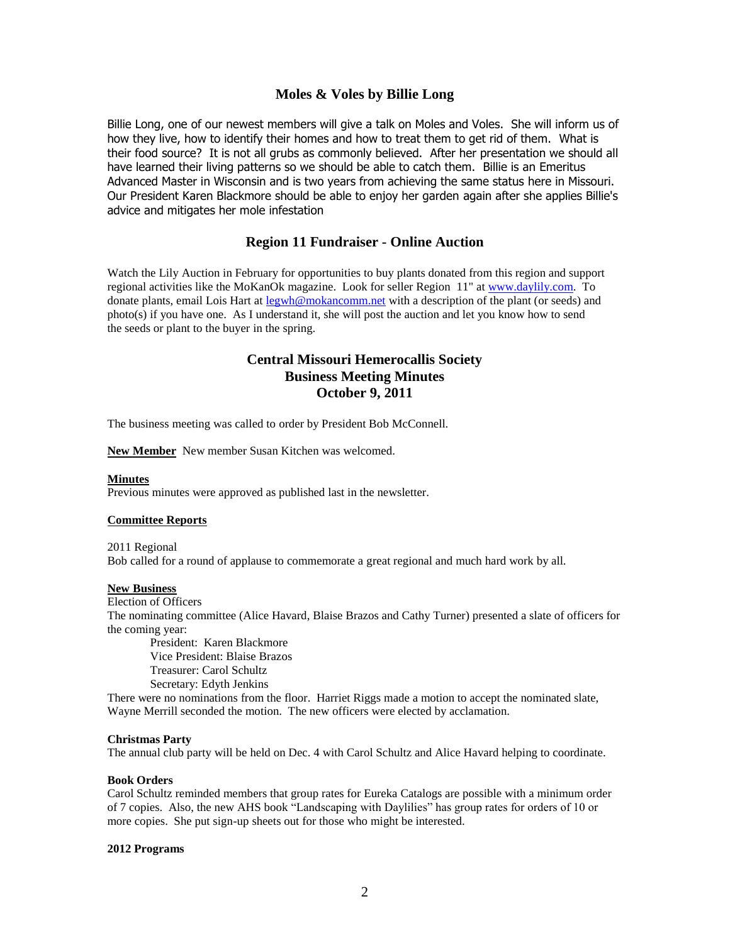# **Moles & Voles by Billie Long**

Billie Long, one of our newest members will give a talk on Moles and Voles. She will inform us of how they live, how to identify their homes and how to treat them to get rid of them. What is their food source? It is not all grubs as commonly believed. After her presentation we should all have learned their living patterns so we should be able to catch them. Billie is an Emeritus Advanced Master in Wisconsin and is two years from achieving the same status here in Missouri. Our President Karen Blackmore should be able to enjoy her garden again after she applies Billie's advice and mitigates her mole infestation

# **Region 11 Fundraiser - Online Auction**

Watch the Lily Auction in February for opportunities to buy plants donated from this region and support regional activities like the MoKanOk magazine. Look for seller Region 11" at [www.daylily.com.](http://www.daylily.com/) To donate plants, email Lois Hart at [legwh@mokancomm.net](mailto:legwh@mokancomm.net) with a description of the plant (or seeds) and photo(s) if you have one. As I understand it, she will post the auction and let you know how to send the seeds or plant to the buyer in the spring.

# **Central Missouri Hemerocallis Society Business Meeting Minutes October 9, 2011**

The business meeting was called to order by President Bob McConnell.

**New Member** New member Susan Kitchen was welcomed.

#### **Minutes**

Previous minutes were approved as published last in the newsletter.

#### **Committee Reports**

2011 Regional Bob called for a round of applause to commemorate a great regional and much hard work by all.

## **New Business**

Election of Officers

The nominating committee (Alice Havard, Blaise Brazos and Cathy Turner) presented a slate of officers for the coming year:

President: Karen Blackmore Vice President: Blaise Brazos Treasurer: Carol Schultz Secretary: Edyth Jenkins

There were no nominations from the floor. Harriet Riggs made a motion to accept the nominated slate, Wayne Merrill seconded the motion. The new officers were elected by acclamation.

### **Christmas Party**

The annual club party will be held on Dec. 4 with Carol Schultz and Alice Havard helping to coordinate.

## **Book Orders**

Carol Schultz reminded members that group rates for Eureka Catalogs are possible with a minimum order of 7 copies. Also, the new AHS book "Landscaping with Daylilies" has group rates for orders of 10 or more copies. She put sign-up sheets out for those who might be interested.

#### **2012 Programs**